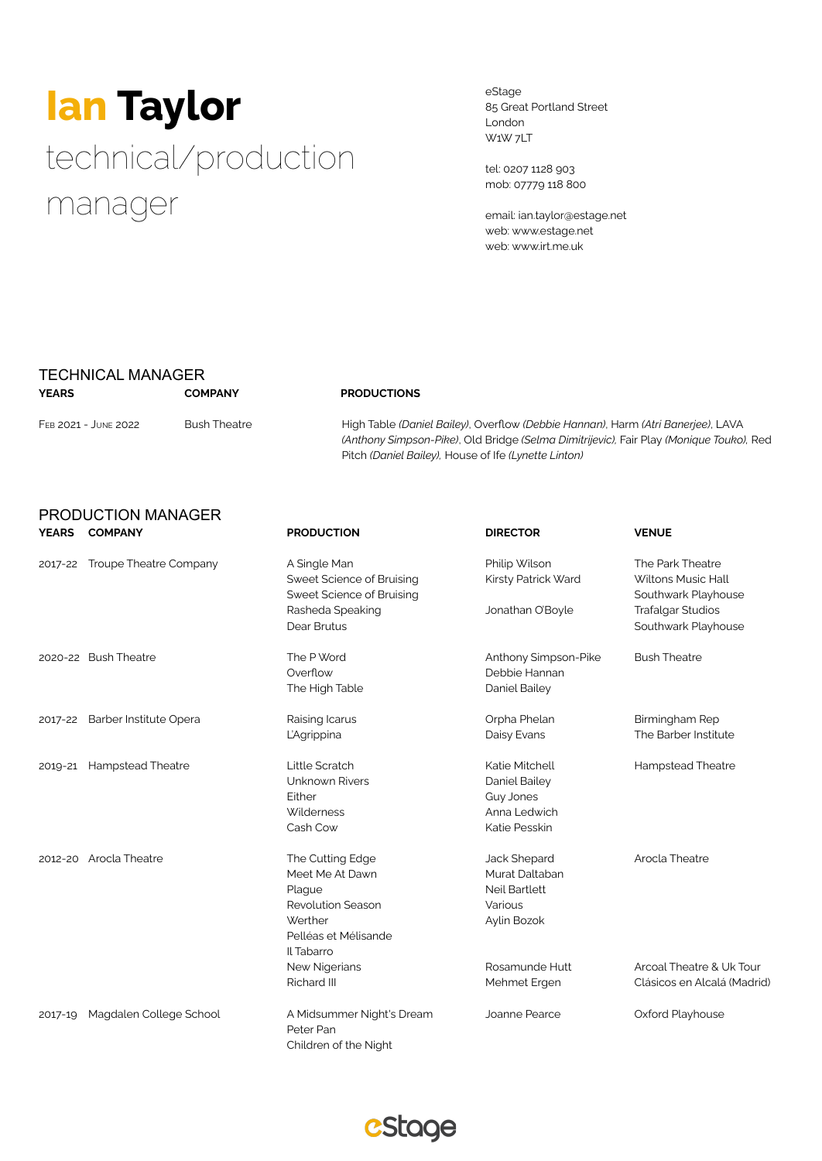# **Ian Taylor** technical/production manager

eStage 85 Great Portland Street London W1W 7LT

tel: 0207 1128 903 mob: 07779 118 800

email: ian.taylor@estage.net web: www.estage.net web: www.irt.me.uk

### TECHNICAL MANAGER **YEARS COMPANY PRODUCTIONS**

PRODUCTION MANAGER

FEB 2021 - JUNE 2022 Bush Theatre High Table *(Daniel Bailey)*, Overflow *(Debbie Hannan)*, Harm *(Atri Banerjee)*, LAVA *(Anthony Simpson-Pike)*, Old Bridge *(Selma Dimitrijevic),* Fair Play *(Monique Touko),* Red Pitch *(Daniel Bailey),* House of Ife *(Lynette Linton)*

| <b>YEARS</b> | <b>COMPANY</b>                 | <b>PRODUCTION</b>                                                      | <b>DIRECTOR</b>                      | <b>VENUE</b>                                                  |  |
|--------------|--------------------------------|------------------------------------------------------------------------|--------------------------------------|---------------------------------------------------------------|--|
| 2017-22      | Troupe Theatre Company         | A Single Man<br>Sweet Science of Bruising<br>Sweet Science of Bruising | Philip Wilson<br>Kirsty Patrick Ward | The Park Theatre<br>Wiltons Music Hall<br>Southwark Playhouse |  |
|              |                                | Rasheda Speaking<br>Dear Brutus                                        | Jonathan O'Boyle                     | <b>Trafalgar Studios</b><br>Southwark Playhouse               |  |
|              | 2020-22 Bush Theatre           | The P Word                                                             | Anthony Simpson-Pike                 | <b>Bush Theatre</b>                                           |  |
|              |                                | Overflow<br>The High Table                                             | Debbie Hannan<br>Daniel Bailey       |                                                               |  |
|              | 2017-22 Barber Institute Opera | Raising Icarus                                                         | Orpha Phelan                         | Birmingham Rep                                                |  |
|              |                                | L'Agrippina                                                            | Daisy Evans                          | The Barber Institute                                          |  |
| 2019-21      | <b>Hampstead Theatre</b>       | Little Scratch                                                         | Katie Mitchell                       | Hampstead Theatre                                             |  |
|              |                                | Unknown Rivers                                                         | Daniel Bailey                        |                                                               |  |
|              |                                | Either                                                                 | Guy Jones                            |                                                               |  |
|              |                                | Wilderness                                                             | Anna Ledwich                         |                                                               |  |
|              |                                | Cash Cow                                                               | Katie Pesskin                        |                                                               |  |
|              | 2012-20 Arocla Theatre         | The Cutting Edge                                                       | Jack Shepard                         | Arocla Theatre                                                |  |
|              |                                | Meet Me At Dawn                                                        | Murat Daltaban                       |                                                               |  |
|              |                                | Plague                                                                 | Neil Bartlett                        |                                                               |  |
|              |                                | <b>Revolution Season</b>                                               | Various                              |                                                               |  |
|              |                                | Werther                                                                | Aylin Bozok                          |                                                               |  |
|              |                                | Pelléas et Mélisande                                                   |                                      |                                                               |  |
|              |                                | Il Tabarro                                                             |                                      |                                                               |  |
|              |                                | New Nigerians                                                          | Rosamunde Hutt                       | Arcoal Theatre & Uk Tour                                      |  |
|              |                                | Richard III                                                            | Mehmet Ergen                         | Clásicos en Alcalá (Madrid)                                   |  |
| 2017-19      | Magdalen College School        | A Midsummer Night's Dream                                              | Joanne Pearce                        | Oxford Playhouse                                              |  |
|              |                                | Peter Pan                                                              |                                      |                                                               |  |
|              |                                | Children of the Night                                                  |                                      |                                                               |  |

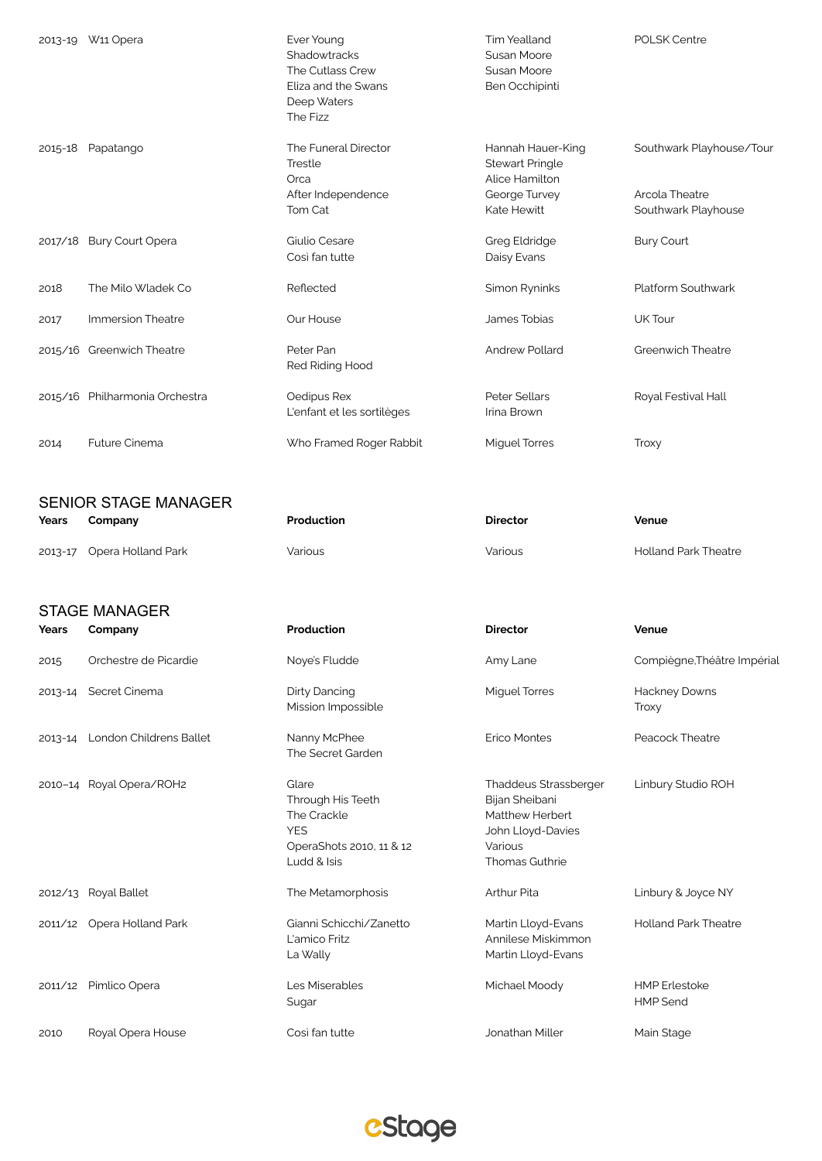|         | 2013-19 W11 Opera               | Ever Young<br>Shadowtracks<br>The Cutlass Crew<br>Eliza and the Swans<br>Deep Waters<br>The Fizz   | Tim Yealland<br><b>Susan Moore</b><br>Susan Moore<br>Ben Occhipinti                                          | <b>POLSK Centre</b>                                               |
|---------|---------------------------------|----------------------------------------------------------------------------------------------------|--------------------------------------------------------------------------------------------------------------|-------------------------------------------------------------------|
| 2015-18 | Papatango                       | The Funeral Director<br>Trestle<br>Orca<br>After Independence<br>Tom Cat                           | Hannah Hauer-King<br><b>Stewart Pringle</b><br>Alice Hamilton<br>George Turvey<br>Kate Hewitt                | Southwark Playhouse/Tour<br>Arcola Theatre<br>Southwark Playhouse |
|         | 2017/18 Bury Court Opera        | Giulio Cesare<br>Così fan tutte                                                                    | <b>Greg Eldridge</b><br>Daisy Evans                                                                          | <b>Bury Court</b>                                                 |
| 2018    | The Milo Wladek Co              | Reflected                                                                                          | Simon Ryninks                                                                                                | Platform Southwark                                                |
| 2017    | Immersion Theatre               | Our House                                                                                          | James Tobias                                                                                                 | UK Tour                                                           |
|         | 2015/16 Greenwich Theatre       | Peter Pan<br>Red Riding Hood                                                                       | <b>Andrew Pollard</b>                                                                                        | Greenwich Theatre                                                 |
|         | 2015/16 Philharmonia Orchestra  | Oedipus Rex<br>L'enfant et les sortilèges                                                          | Peter Sellars<br>Irina Brown                                                                                 | Royal Festival Hall                                               |
| 2014    | <b>Future Cinema</b>            | Who Framed Roger Rabbit                                                                            | <b>Miguel Torres</b>                                                                                         | Troxy                                                             |
|         | <b>SENIOR STAGE MANAGER</b>     |                                                                                                    |                                                                                                              |                                                                   |
|         |                                 |                                                                                                    |                                                                                                              |                                                                   |
| Years   | Company                         | Production                                                                                         | <b>Director</b>                                                                                              | Venue                                                             |
| 2013-17 | Opera Holland Park              | Various                                                                                            | Various                                                                                                      | <b>Holland Park Theatre</b>                                       |
|         | <b>STAGE MANAGER</b>            |                                                                                                    |                                                                                                              |                                                                   |
| Years   | Company                         | Production                                                                                         | <b>Director</b>                                                                                              | Venue                                                             |
| 2015    | Orchestre de Picardie           | Noye's Fludde                                                                                      | Amy Lane                                                                                                     | Compiègne, Théâtre Impérial                                       |
|         | 2013-14 Secret Cinema           | <b>Dirty Dancing</b><br>Mission Impossible                                                         | <b>Miguel Torres</b>                                                                                         | Hackney Downs<br>Troxy                                            |
|         | 2013-14 London Childrens Ballet | Nanny McPhee<br>The Secret Garden                                                                  | <b>Erico Montes</b>                                                                                          | Peacock Theatre                                                   |
|         | 2010-14 Royal Opera/ROH2        | Glare<br>Through His Teeth<br>The Crackle<br><b>YES</b><br>OperaShots 2010, 11 & 12<br>Ludd & Isis | Thaddeus Strassberger<br>Bijan Sheibani<br>Matthew Herbert<br>John Lloyd-Davies<br>Various<br>Thomas Guthrie | Linbury Studio ROH                                                |
|         | 2012/13 Royal Ballet            | The Metamorphosis                                                                                  | Arthur Pita                                                                                                  | Linbury & Joyce NY                                                |
|         | 2011/12 Opera Holland Park      | Gianni Schicchi/Zanetto<br>L'amico Fritz<br>La Wally                                               | Martin Lloyd-Evans<br>Annilese Miskimmon<br>Martin Lloyd-Evans                                               | <b>Holland Park Theatre</b>                                       |

2010 Royal Opera House **Così fan tutte Communisty Cosi** fan tutte Jonathan Miller Main Stage